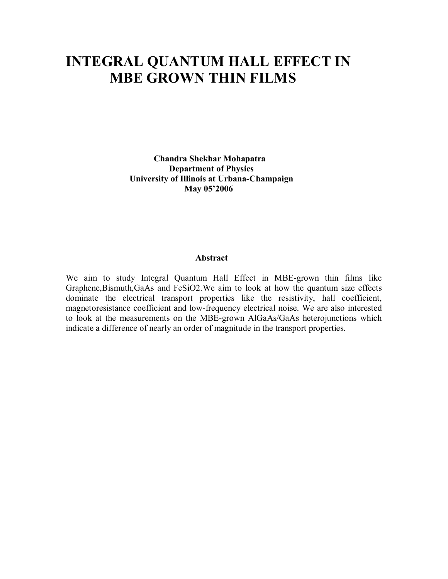# **INTEGRAL QUANTUM HALL EFFECT IN MBE GROWN THIN FILMS**

 **Chandra Shekhar Mohapatra Department of Physics University of Illinois at Urbana-Champaign May 05'2006** 

### **Abstract**

We aim to study Integral Quantum Hall Effect in MBE-grown thin films like Graphene,Bismuth,GaAs and FeSiO2.We aim to look at how the quantum size effects dominate the electrical transport properties like the resistivity, hall coefficient, magnetoresistance coefficient and low-frequency electrical noise. We are also interested to look at the measurements on the MBE-grown AlGaAs/GaAs heterojunctions which indicate a difference of nearly an order of magnitude in the transport properties.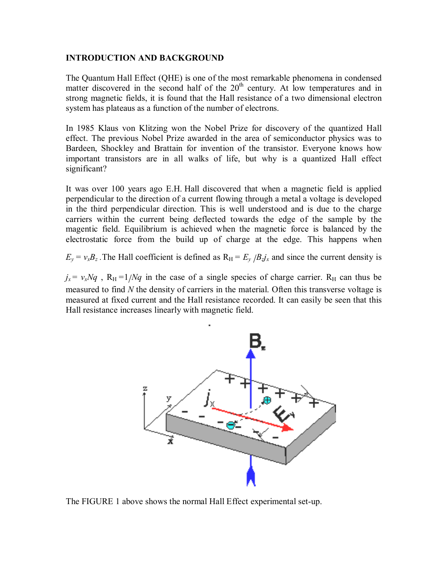### **INTRODUCTION AND BACKGROUND**

The Quantum Hall Effect (QHE) is one of the most remarkable phenomena in condensed matter discovered in the second half of the  $20<sup>th</sup>$  century. At low temperatures and in strong magnetic fields, it is found that the Hall resistance of a two dimensional electron system has plateaus as a function of the number of electrons.

In 1985 Klaus von Klitzing won the Nobel Prize for discovery of the quantized Hall effect. The previous Nobel Prize awarded in the area of semiconductor physics was to Bardeen, Shockley and Brattain for invention of the transistor. Everyone knows how important transistors are in all walks of life, but why is a quantized Hall effect significant?

It was over 100 years ago E.H. Hall discovered that when a magnetic field is applied perpendicular to the direction of a current flowing through a metal a voltage is developed in the third perpendicular direction. This is well understood and is due to the charge carriers within the current being deflected towards the edge of the sample by the magentic field. Equilibrium is achieved when the magnetic force is balanced by the electrostatic force from the build up of charge at the edge. This happens when

 $E_y = v_x B_z$ . The Hall coefficient is defined as  $R_H = E_y / B_z j_x$  and since the current density is

 $j_x = v_x Nq$ ,  $R_H = 1/Nq$  in the case of a single species of charge carrier.  $R_H$  can thus be measured to find *N* the density of carriers in the material. Often this transverse voltage is measured at fixed current and the Hall resistance recorded. It can easily be seen that this Hall resistance increases linearly with magnetic field.



The FIGURE 1 above shows the normal Hall Effect experimental set-up.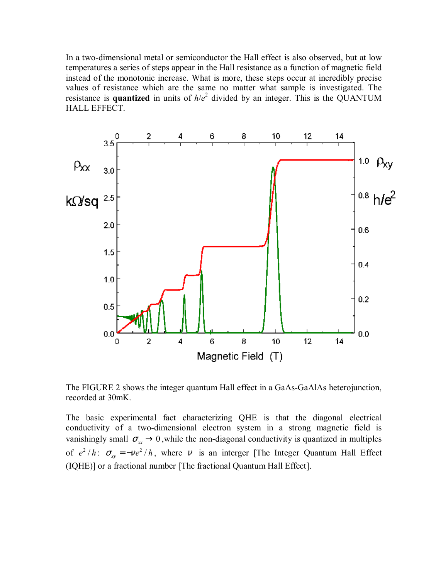In a two-dimensional metal or semiconductor the Hall effect is also observed, but at low temperatures a series of steps appear in the Hall resistance as a function of magnetic field instead of the monotonic increase. What is more, these steps occur at incredibly precise values of resistance which are the same no matter what sample is investigated. The resistance is **quantized** in units of  $h/e^2$  divided by an integer. This is the QUANTUM HALL EFFECT.



The FIGURE 2 shows the integer quantum Hall effect in a GaAs-GaAlAs heterojunction, recorded at 30mK.

The basic experimental fact characterizing QHE is that the diagonal electrical conductivity of a two-dimensional electron system in a strong magnetic field is vanishingly small  $\sigma_{xx} \rightarrow 0$ , while the non-diagonal conductivity is quantized in multiples of  $e^2/h$ :  $\sigma_{xy} = -ve^2/h$ , where v is an interger [The Integer Quantum Hall Effect (IQHE)] or a fractional number [The fractional Quantum Hall Effect].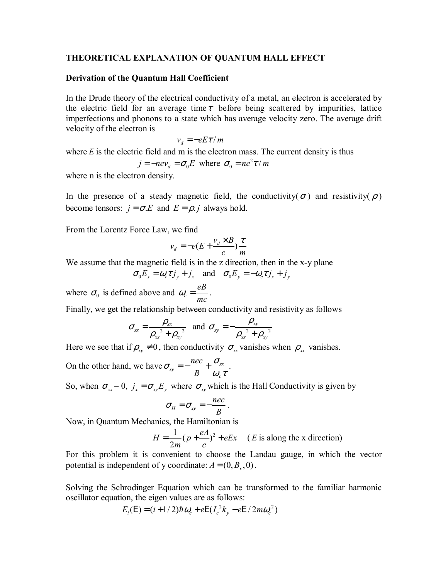#### **THEORETICAL EXPLANATION OF QUANTUM HALL EFFECT**

#### **Derivation of the Quantum Hall Coefficient**

In the Drude theory of the electrical conductivity of a metal, an electron is accelerated by the electric field for an average time  $\tau$  before being scattered by impurities, lattice imperfections and phonons to a state which has average velocity zero. The average drift velocity of the electron is

$$
v_d = -eE\tau/m
$$

where  $E$  is the electric field and  $m$  is the electron mass. The current density is thus

$$
j = -nev_d = \sigma_0 E
$$
 where  $\sigma_0 = ne^2 \tau / m$ 

where n is the electron density.

In the presence of a steady magnetic field, the conductivity( $\sigma$ ) and resistivity( $\rho$ ) become tensors:  $j = \sigma.E$  and  $E = \rho.j$  always hold.

From the Lorentz Force Law, we find

$$
v_d = -e(E + \frac{v_d \times B}{c})\frac{\tau}{m}
$$

We assume that the magnetic field is in the z direction, then in the x-y plane

$$
\sigma_0 E_x = \omega_c \tau j_y + j_x
$$
 and  $\sigma_0 E_y = -\omega_c \tau j_x + j_y$ 

where  $\sigma_0$  is defined above and  $\omega_c = \frac{eB}{mc}$ *mc*  $\omega_c = \frac{\mu}{c}$ .

Finally, we get the relationship between conductivity and resistivity as follows

$$
\sigma_{xx} = \frac{\rho_{xx}}{\rho_{xx}^2 + \rho_{xy}^2} \text{ and } \sigma_{xy} = -\frac{\rho_{xy}}{\rho_{xx}^2 + \rho_{xy}^2}
$$

Here we see that if  $\rho_{xy} \neq 0$ , then conductivity  $\sigma_{xx}$  vanishes when  $\rho_{xx}$  vanishes.

On the other hand, we have  $\sigma_{xy} = -\frac{net}{R} + \frac{U_{xx}}{U_{xx}}$ *c nec B*  $\sigma_{-} = -\frac{nec}{-} + \frac{\sigma_{-}}{\sigma_{-}}$  $=-\frac{hc}{B}+\frac{\sigma_{xx}}{\omega_{x}\tau}$ .

So, when  $\sigma_{xx} = 0$ ,  $j_x = \sigma_{xy} E_y$ , where  $\sigma_{xy}$  which is the Hall Conductivity is given by

$$
\sigma_{_H} = \sigma_{xy} = -\frac{nec}{B}.
$$

Now, in Quantum Mechanics, the Hamiltonian is

$$
H = \frac{1}{2m}(p + \frac{eA}{c})^2 + eEx \quad (E \text{ is along the x direction})
$$

For this problem it is convenient to choose the Landau gauge, in which the vector potential is independent of y coordinate:  $A = (0, B_x, 0)$ .

Solving the Schrodinger Equation which can be transformed to the familiar harmonic oscillator equation, the eigen values are as follows:

$$
E_i(E) = (i + 1/2)\hbar\omega_c + eE(I_c^2k_y - eE/2m\omega_c^2)
$$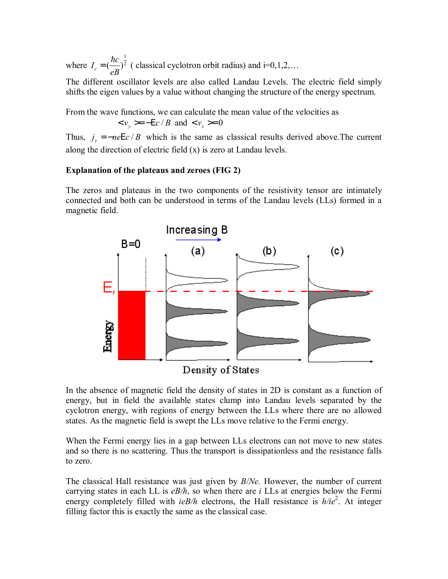where 1  $I_c = \left(\frac{\hbar c}{eB}\right)^{\frac{1}{2}}$  (classical cyclotron orbit radius) and i=0,1,2,...

The different oscillator levels are also called Landau Levels. The electric field simply shifts the eigen values by a value without changing the structure of the energy spectrum.

From the wave functions, we can calculate the mean value of the velocities as  $< v_y > = -Ec/B$  and  $< v_x > = 0$ 

Thus,  $j_v = -neE c / B$  which is the same as classical results derived above. The current along the direction of electric field (x) is zero at Landau levels.

# **Explanation of the plateaus and zeroes (FIG 2)**

The zeros and plateaus in the two components of the resistivity tensor are intimately connected and both can be understood in terms of the Landau levels (LLs) formed in a magnetic field.



In the absence of magnetic field the density of states in 2D is constant as a function of energy, but in field the available states clump into Landau levels separated by the cyclotron energy, with regions of energy between the LLs where there are no allowed states. As the magnetic field is swept the LLs move relative to the Fermi energy.

When the Fermi energy lies in a gap between LLs electrons can not move to new states and so there is no scattering. Thus the transport is dissipationless and the resistance falls to zero.

The classical Hall resistance was just given by *B/Ne.* However, the number of current carrying states in each LL is *eB/h*, so when there are *i* LLs at energies below the Fermi energy completely filled with *ieB/h* electrons, the Hall resistance is  $h/ie^2$ . At integer filling factor this is exactly the same as the classical case.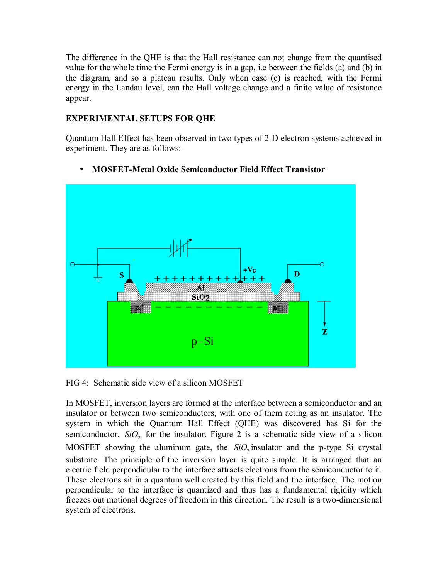The difference in the QHE is that the Hall resistance can not change from the quantised value for the whole time the Fermi energy is in a gap, i.e between the fields (a) and (b) in the diagram, and so a plateau results. Only when case (c) is reached, with the Fermi energy in the Landau level, can the Hall voltage change and a finite value of resistance appear.

# **EXPERIMENTAL SETUPS FOR QHE**

Quantum Hall Effect has been observed in two types of 2-D electron systems achieved in experiment. They are as follows:-

# ⊦Vc D \$109 7 z  $p-Si$

# • **MOSFET-Metal Oxide Semiconductor Field Effect Transistor**

FIG 4: Schematic side view of a silicon MOSFET

In MOSFET, inversion layers are formed at the interface between a semiconductor and an insulator or between two semiconductors, with one of them acting as an insulator. The system in which the Quantum Hall Effect (QHE) was discovered has Si for the semiconductor,  $SiO_2$  for the insulator. Figure 2 is a schematic side view of a silicon MOSFET showing the aluminum gate, the  $SiO$  insulator and the p-type Si crystal substrate. The principle of the inversion layer is quite simple. It is arranged that an electric field perpendicular to the interface attracts electrons from the semiconductor to it. These electrons sit in a quantum well created by this field and the interface. The motion perpendicular to the interface is quantized and thus has a fundamental rigidity which freezes out motional degrees of freedom in this direction. The result is a two-dimensional system of electrons.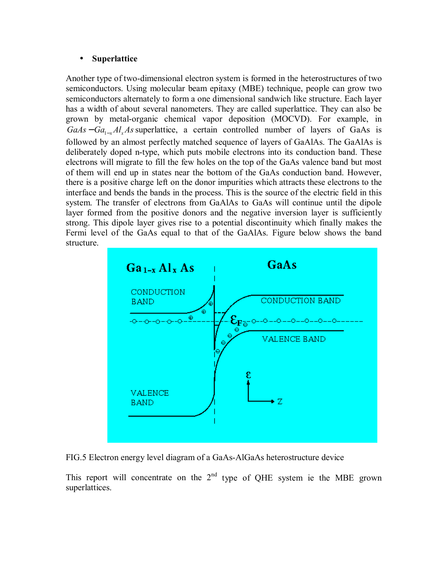# • **Superlattice**

Another type of two-dimensional electron system is formed in the heterostructures of two semiconductors. Using molecular beam epitaxy (MBE) technique, people can grow two semiconductors alternately to form a one dimensional sandwich like structure. Each layer has a width of about several nanometers. They are called superlattice. They can also be grown by metal-organic chemical vapor deposition (MOCVD). For example, in  $GaAs - Ga_{1-x}Al_xAs$  superlattice, a certain controlled number of layers of GaAs is followed by an almost perfectly matched sequence of layers of GaAlAs. The GaAlAs is deliberately doped n-type, which puts mobile electrons into its conduction band. These electrons will migrate to fill the few holes on the top of the GaAs valence band but most of them will end up in states near the bottom of the GaAs conduction band. However, there is a positive charge left on the donor impurities which attracts these electrons to the interface and bends the bands in the process. This is the source of the electric field in this system. The transfer of electrons from GaAlAs to GaAs will continue until the dipole layer formed from the positive donors and the negative inversion layer is sufficiently strong. This dipole layer gives rise to a potential discontinuity which finally makes the Fermi level of the GaAs equal to that of the GaAlAs. Figure below shows the band structure.



FIG.5 Electron energy level diagram of a GaAs-AlGaAs heterostructure device

This report will concentrate on the  $2<sup>nd</sup>$  type of OHE system ie the MBE grown superlattices.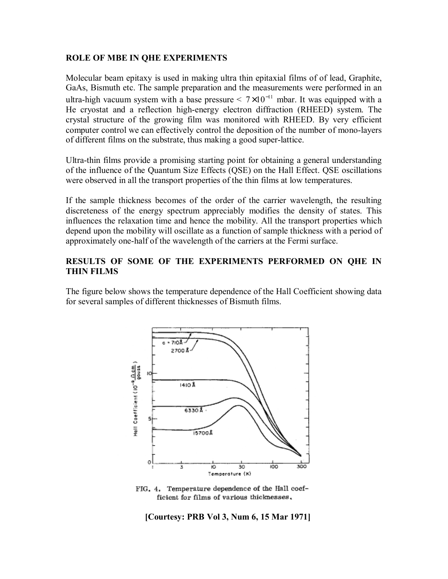### **ROLE OF MBE IN QHE EXPERIMENTS**

Molecular beam epitaxy is used in making ultra thin epitaxial films of of lead, Graphite, GaAs, Bismuth etc. The sample preparation and the measurements were performed in an ultra-high vacuum system with a base pressure  $\leq 7 \times 10^{-11}$  mbar. It was equipped with a He cryostat and a reflection high-energy electron diffraction (RHEED) system. The crystal structure of the growing film was monitored with RHEED. By very efficient computer control we can effectively control the deposition of the number of mono-layers of different films on the substrate, thus making a good super-lattice.

Ultra-thin films provide a promising starting point for obtaining a general understanding of the influence of the Quantum Size Effects (QSE) on the Hall Effect. QSE oscillations were observed in all the transport properties of the thin films at low temperatures.

If the sample thickness becomes of the order of the carrier wavelength, the resulting discreteness of the energy spectrum appreciably modifies the density of states. This influences the relaxation time and hence the mobility. All the transport properties which depend upon the mobility will oscillate as a function of sample thickness with a period of approximately one-half of the wavelength of the carriers at the Fermi surface.

# **RESULTS OF SOME OF THE EXPERIMENTS PERFORMED ON QHE IN THIN FILMS**

The figure below shows the temperature dependence of the Hall Coefficient showing data for several samples of different thicknesses of Bismuth films.



FIG. 4. Temperature dependence of the Hall coefficient for films of various thicknesses,

**[Courtesy: PRB Vol 3, Num 6, 15 Mar 1971]**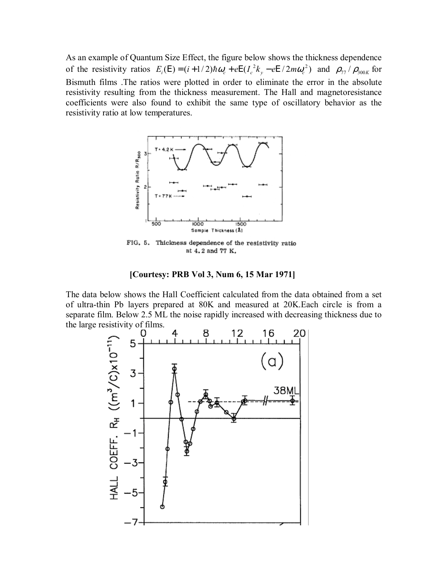As an example of Quantum Size Effect, the figure below shows the thickness dependence of the resistivity ratios  $E_i(\mathbf{E}) = (i + 1/2) \hbar \omega_c + e \mathbf{E} (I_c^2 k_y - e \mathbf{E} / 2m \omega_c^2)$  and  $\rho_{77} / \rho_{300K}$  for Bismuth films .The ratios were plotted in order to eliminate the error in the absolute resistivity resulting from the thickness measurement. The Hall and magnetoresistance coefficients were also found to exhibit the same type of oscillatory behavior as the resistivity ratio at low temperatures.



FIG. 5. Thickness dependence of the resistivity ratio at 4.2 and 77 K.

#### **[Courtesy: PRB Vol 3, Num 6, 15 Mar 1971]**

The data below shows the Hall Coefficient calculated from the data obtained from a set of ultra-thin Pb layers prepared at 80K and measured at 20K.Each circle is from a separate film. Below 2.5 ML the noise rapidly increased with decreasing thickness due to the large resistivity of films.

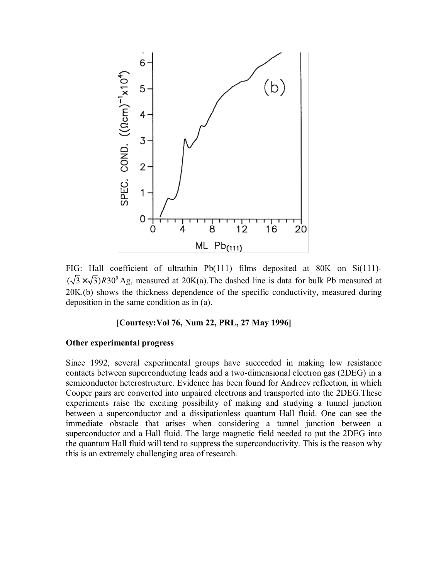

FIG: Hall coefficient of ultrathin Pb(111) films deposited at 80K on Si(111)-  $(\sqrt{3} \times \sqrt{3})$  R30<sup>0</sup> Ag, measured at 20K(a). The dashed line is data for bulk Pb measured at 20K.(b) shows the thickness dependence of the specific conductivity, measured during deposition in the same condition as in (a).

# **[Courtesy:Vol 76, Num 22, PRL, 27 May 1996]**

#### **Other experimental progress**

Since 1992, several experimental groups have succeeded in making low resistance contacts between superconducting leads and a two-dimensional electron gas (2DEG) in a semiconductor heterostructure. Evidence has been found for Andreev reflection, in which Cooper pairs are converted into unpaired electrons and transported into the 2DEG.These experiments raise the exciting possibility of making and studying a tunnel junction between a superconductor and a dissipationless quantum Hall fluid. One can see the immediate obstacle that arises when considering a tunnel junction between a superconductor and a Hall fluid. The large magnetic field needed to put the 2DEG into the quantum Hall fluid will tend to suppress the superconductivity. This is the reason why this is an extremely challenging area of research.